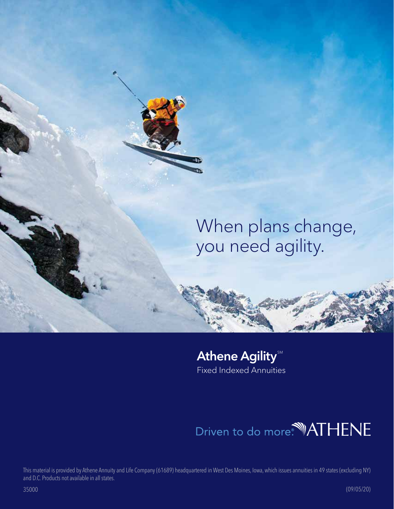# When plans change, you need agility.

# Athene Agility Fixed Indexed Annuities

# Driven to do more.<sup>4</sup> ATHENE

This material is provided by Athene Annuity and Life Company (61689) headquartered in West Des Moines, Iowa, which issues annuities in 49 states (excluding NY) and D.C. Products not available in all states.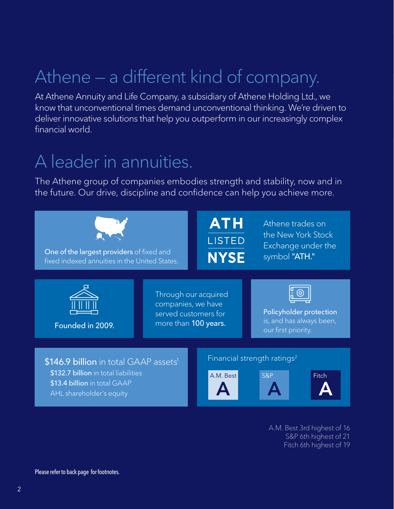# Athene — a different kind of company.

At Athene Annuity and Life Company, a subsidiary of Athene Holding Ltd., we know that unconventional times demand unconventional thinking. We're driven to deliver innovative solutions that help you outperform in our increasingly complex financial world.

# A leader in annuities.

The Athene group of companies embodies strength and stability, now and in the future. Our drive, discipline and confidence can help you achieve more.



A.M. Best 3rd highest of 16 S&P 6th highest of 21 Fitch 6th highest of 19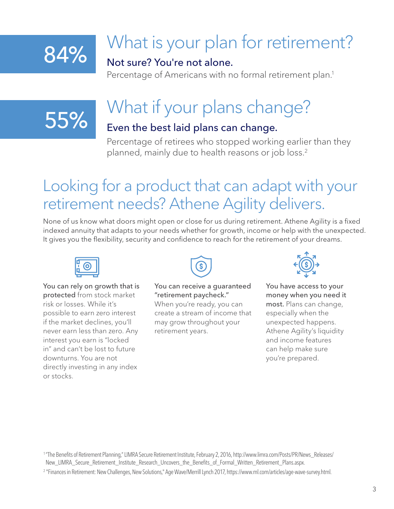# 84%

# What is your plan for retirement?

# Not sure? You're not alone.

Percentage of Americans with no formal retirement plan.<sup>1</sup>

# 55%

# What if your plans change?

# Even the best laid plans can change.

Percentage of retirees who stopped working earlier than they planned, mainly due to health reasons or job loss.<sup>2</sup>

# Looking for a product that can adapt with your retirement needs? Athene Agility delivers.

None of us know what doors might open or close for us during retirement. Athene Agility is a fixed indexed annuity that adapts to your needs whether for growth, income or help with the unexpected. It gives you the flexibility, security and confidence to reach for the retirement of your dreams.



#### You can rely on growth that is protected from stock market risk or losses. While it's possible to earn zero interest if the market declines, you'll never earn less than zero. Any interest you earn is "locked in" and can't be lost to future downturns. You are not

directly investing in any index

or stocks.



### You can receive a guaranteed "retirement paycheck."

When you're ready, you can create a stream of income that may grow throughout your retirement years.



You have access to your money when you need it most. Plans can change, especially when the unexpected happens. Athene Agility's liquidity and income features can help make sure you're prepared.

<sup>&</sup>lt;sup>1</sup> "The Benefits of Retirement Planning," LIMRA Secure Retirement Institute, February 2, 2016, http://www.limra.com/Posts/PR/News\_Releases/ New\_LIMRA\_Secure\_Retirement\_Institute\_Research\_Uncovers\_the\_Benefits\_of\_Formal\_Written\_Retirement\_Plans.aspx.

<sup>2</sup> "Finances in Retirement: New Challenges, New Solutions," Age Wave/Merrill Lynch 2017, https://www.ml.com/articles/age-wave-survey.html.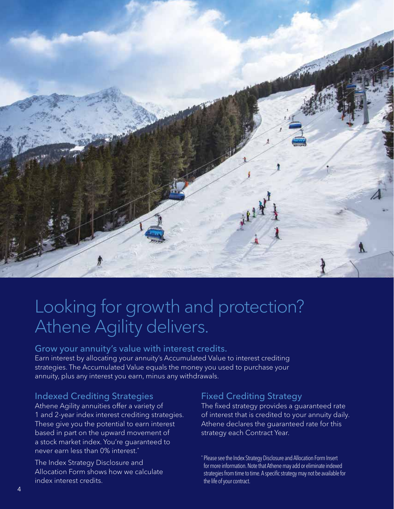

# Looking for growth and protection? Athene Agility delivers.

#### Grow your annuity's value with interest credits.

Earn interest by allocating your annuity's Accumulated Value to interest crediting strategies. The Accumulated Value equals the money you used to purchase your annuity, plus any interest you earn, minus any withdrawals.

### Indexed Crediting Strategies

Athene Agility annuities offer a variety of 1 and 2-year index interest crediting strategies. These give you the potential to earn interest based in part on the upward movement of a stock market index. You're guaranteed to never earn less than 0% interest.\*

The Index Strategy Disclosure and Allocation Form shows how we calculate index interest credits.

### Fixed Crediting Strategy

The fixed strategy provides a guaranteed rate of interest that is credited to your annuity daily. Athene declares the guaranteed rate for this strategy each Contract Year.

\* Please see the Index Strategy Disclosure and Allocation Form Insert for more information. Note that Athene may add or eliminate indexed strategies from time to time. A specific strategy may not be available for the life of your contract.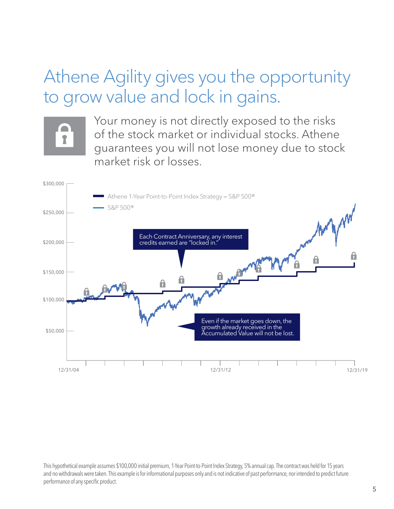# Athene Agility gives you the opportunity to grow value and lock in gains.  $\Delta T$



Your money is not directly exposed to the risks of the stock market or individual stocks. Athene  $\blacksquare$  guarantees you will not lose money due to stock market risk or losses.



This hypothetical example assumes \$100,000 initial premium, 1-Year Point-to-Point Index Strategy, 5% annual cap. The contract was held for 15 years and no withdrawals were taken. This example is for informational purposes only and is not indicative of past performance, nor intended to predict future performance of any specific product.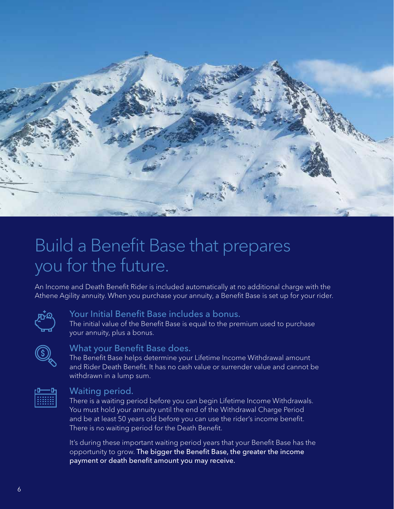

# Build a Benefit Base that prepares you for the future.

An Income and Death Benefit Rider is included automatically at no additional charge with the Athene Agility annuity. When you purchase your annuity, a Benefit Base is set up for your rider.



### Your Initial Benefit Base includes a bonus.

The initial value of the Benefit Base is equal to the premium used to purchase your annuity, plus a bonus.

| <b>Service Service</b> |  |
|------------------------|--|

#### What your Benefit Base does.

The Benefit Base helps determine your Lifetime Income Withdrawal amount and Rider Death Benefit. It has no cash value or surrender value and cannot be withdrawn in a lump sum.



#### Waiting period.

There is a waiting period before you can begin Lifetime Income Withdrawals. You must hold your annuity until the end of the Withdrawal Charge Period and be at least 50 years old before you can use the rider's income benefit. There is no waiting period for the Death Benefit.

It's during these important waiting period years that your Benefit Base has the opportunity to grow. The bigger the Benefit Base, the greater the income payment or death benefit amount you may receive.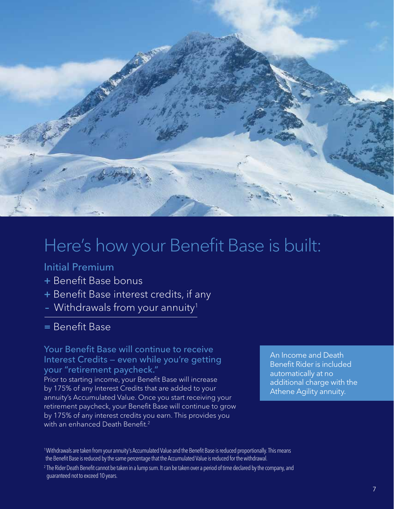

# Here's how your Benefit Base is built:

# Initial Premium

- + Benefit Base bonus
- + Benefit Base interest credits, if any
- Withdrawals from your annuity<sup>1</sup>

# = Benefit Base

### Your Benefit Base will continue to receive Interest Credits — even while you're getting your "retirement paycheck."

Prior to starting income, your Benefit Base will increase by 175% of any Interest Credits that are added to your annuity's Accumulated Value. Once you start receiving your retirement paycheck, your Benefit Base will continue to grow by 175% of any interest credits you earn. This provides you with an enhanced Death Benefit.<sup>2</sup>

An Income and Death Benefit Rider is included automatically at no additional charge with the Athene Agility annuity.

<sup>1</sup>Withdrawals are taken from your annuity's Accumulated Value and the Benefit Base is reduced proportionally. This means the Benefit Base is reduced by the same percentage that the Accumulated Value is reduced for the withdrawal.

<sup>&</sup>lt;sup>2</sup> The Rider Death Benefit cannot be taken in a lump sum. It can be taken over a period of time declared by the company, and guaranteed not to exceed 10 years.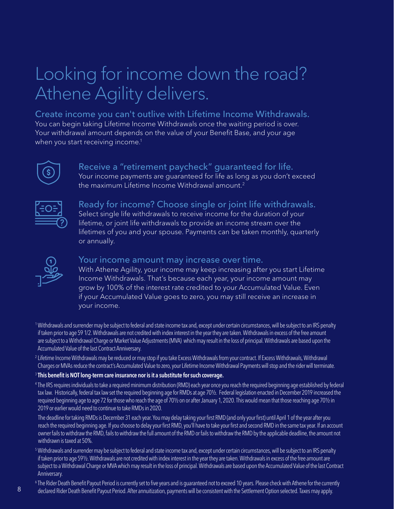# Looking for income down the road? Athene Agility delivers.

Create income you can't outlive with Lifetime Income Withdrawals. You can begin taking Lifetime Income Withdrawals once the waiting period is over. Your withdrawal amount depends on the value of your Benefit Base, and your age when you start receiving income.<sup>1</sup>



Receive a "retirement paycheck" guaranteed for life. Your income payments are guaranteed for life as long as you don't exceed the maximum Lifetime Income Withdrawal amount.<sup>2</sup>



Ready for income? Choose single or joint life withdrawals. Select single life withdrawals to receive income for the duration of your lifetime, or joint life withdrawals to provide an income stream over the lifetimes of you and your spouse. Payments can be taken monthly, quarterly or annually.



#### Your income amount may increase over time.

With Athene Agility, your income may keep increasing after you start Lifetime Income Withdrawals. That's because each year, your income amount may grow by 100% of the interest rate credited to your Accumulated Value. Even if your Accumulated Value goes to zero, you may still receive an increase in your income.

1Withdrawals and surrender may be subject to federal and state income tax and, except under certain circumstances, will be subject to an IRS penalty if taken prior to age 59 1/2. Withdrawals are not credited with index interest in the year they are taken. Withdrawals in excess of the free amount are subject to a Withdrawal Charge or Market Value Adjustments (MVA) which may result in the loss of principal. Withdrawals are based upon the Accumulated Value of the last Contract Anniversary.

<sup>2</sup> Lifetime Income Withdrawals may be reduced or may stop if you take Excess Withdrawals from your contract. If Excess Withdrawals, Withdrawal Charges or MVAs reduce the contract's Accumulated Value to zero, your Lifetime Income Withdrawal Payments will stop and the rider will terminate.

#### $3$  This benefit is NOT long-term care insurance nor is it a substitute for such coverage.

<sup>4</sup> The IRS requires individuals to take a required minimum distribution (RMD) each year once you reach the required beginning age established by federal tax law. Historically, federal tax law set the required beginning age for RMDs at age 70½. Federal legislation enacted in December 2019 increased the required beginning age to age 72 for those who reach the age of 70½ on or after January 1, 2020. This would mean that those reaching age 70½ in 2019 or earlier would need to continue to take RMDs in 2020.

The deadline for taking RMDs is December 31 each year. You may delay taking your first RMD (and only your first) until April 1 of the year after you reach the required beginning age. If you choose to delay your first RMD, you'll have to take your first and second RMD in the same tax year. If an account owner fails to withdraw the RMD, fails to withdraw the full amount of the RMD or fails to withdraw the RMD by the applicable deadline, the amount not withdrawn is taxed at 50%.

5Withdrawals and surrender may be subject to federal and state income tax and, except under certain circumstances, will be subject to an IRS penalty if taken prior to age 59½. Withdrawals are not credited with index interest in the year they are taken. Withdrawals in excess of the free amount are subject to a Withdrawal Charge or MVA which may result in the loss of principal. Withdrawals are based upon the Accumulated Value of the last Contract Anniversary.

 $^6$  The Rider Death Benefit Payout Period is currently set to five years and is guaranteed not to exceed 10 years. Please check with Athene for the currently

declared Rider Death Benefit Payout Period. After annuitization, payments will be consistent with the Settlement Option selected. Taxes may apply.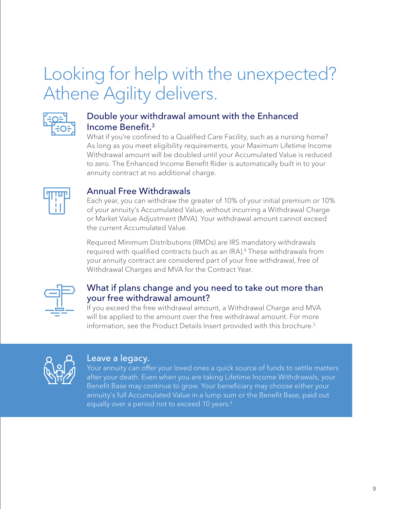# Looking for help with the unexpected? Athene Agility delivers.



## Double your withdrawal amount with the Enhanced Income Benefit.3

What if you're confined to a Qualified Care Facility, such as a nursing home? As long as you meet eligibility requirements, your Maximum Lifetime Income Withdrawal amount will be doubled until your Accumulated Value is reduced to zero. The Enhanced Income Benefit Rider is automatically built in to your annuity contract at no additional charge.



## Annual Free Withdrawals

Each year, you can withdraw the greater of 10% of your initial premium or 10% of your annuity's Accumulated Value, without incurring a Withdrawal Charge or Market Value Adjustment (MVA). Your withdrawal amount cannot exceed the current Accumulated Value.

Required Minimum Distributions (RMDs) are IRS mandatory withdrawals required with qualified contracts (such as an IRA).<sup>4</sup> These withdrawals from your annuity contract are considered part of your free withdrawal, free of Withdrawal Charges and MVA for the Contract Year.



## What if plans change and you need to take out more than your free withdrawal amount?

If you exceed the free withdrawal amount, a Withdrawal Charge and MVA will be applied to the amount over the free withdrawal amount. For more information, see the Product Details Insert provided with this brochure.<sup>5</sup>



### Leave a legacy.

Your annuity can offer your loved ones a quick source of funds to settle matters after your death. Even when you are taking Lifetime Income Withdrawals, your Benefit Base may continue to grow. Your beneficiary may choose either your annuity's full Accumulated Value in a lump sum or the Benefit Base, paid out equally over a period not to exceed 10 years.<sup>6</sup>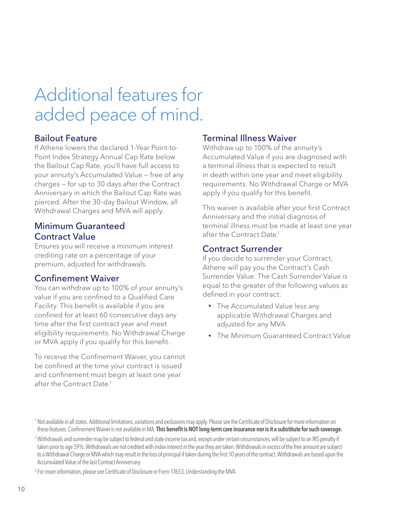# Additional features for added peace of mind.

### Bailout Feature

If Athene lowers the declared 1-Year Point-to-Point Index Strategy Annual Cap Rate below the Bailout Cap Rate, you'll have full access to your annuity's Accumulated Value — free of any charges — for up to 30 days after the Contract Anniversary in which the Bailout Cap Rate was pierced. After the 30-day Bailout Window, all Withdrawal Charges and MVA will apply.

### Minimum Guaranteed Contract Value

Ensures you will receive a minimum interest crediting rate on a percentage of your premium, adjusted for withdrawals.

### Confinement Waiver

You can withdraw up to 100% of your annuity's value if you are confined to a Qualified Care Facility. This benefit is available if you are confined for at least 60 consecutive days any time after the first contract year and meet eligibility requirements. No Withdrawal Charge or MVA apply if you qualify for this benefit.

To receive the Confinement Waiver, you cannot be confined at the time your contract is issued and confinement must begin at least one year after the Contract Date.1

## Terminal Illness Waiver

Withdraw up to 100% of the annuity's Accumulated Value if you are diagnosed with a terminal illness that is expected to result in death within one year and meet eligibility requirements. No Withdrawal Charge or MVA apply if you qualify for this benefit.

This waiver is available after your first Contract Anniversary and the initial diagnosis of terminal illness must be made at least one year after the Contract Date.1

## Contract Surrender

If you decide to surrender your Contract, Athene will pay you the Contract's Cash Surrender Value. The Cash Surrender Value is equal to the greater of the following values as defined in your contract:

- The Accumulated Value less any applicable Withdrawal Charges and adjusted for any MVA
- The Minimum Guaranteed Contract Value

<sup>3</sup> For more information, please see Certificate of Disclosure or Form 17653, Understanding the MVA.

<sup>&</sup>lt;sup>1</sup> Not available in all states. Additional limitations, variations and exclusions may apply. Please see the Certificate of Disclosure for more information on these features. Confinement Waiver is not available in MA. This benefit is NOT long-term care insurance nor is it a substitute for such coverage.

<sup>&</sup>lt;sup>2</sup> Withdrawals and surrender may be subject to federal and state income tax and, except under certain circumstances, will be subject to an IRS penalty if taken prior to age 59½. Withdrawals are not credited with index interest in the year they are taken. Withdrawals in excess of the free amount are subject to a Withdrawal Charge or MVA which may result in the loss of principal if taken during the first 10 years of the contract. Withdrawals are based upon the Accumulated Value of the last Contract Anniversary.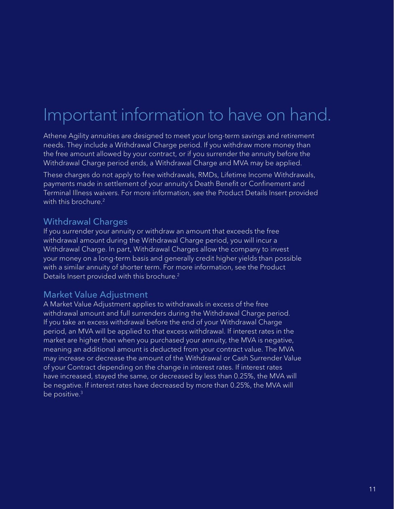# Important information to have on hand.

Athene Agility annuities are designed to meet your long-term savings and retirement needs. They include a Withdrawal Charge period. If you withdraw more money than the free amount allowed by your contract, or if you surrender the annuity before the Withdrawal Charge period ends, a Withdrawal Charge and MVA may be applied.

These charges do not apply to free withdrawals, RMDs, Lifetime Income Withdrawals, payments made in settlement of your annuity's Death Benefit or Confinement and Terminal Illness waivers. For more information, see the Product Details Insert provided with this brochure.<sup>2</sup>

## Withdrawal Charges

If you surrender your annuity or withdraw an amount that exceeds the free withdrawal amount during the Withdrawal Charge period, you will incur a Withdrawal Charge. In part, Withdrawal Charges allow the company to invest your money on a long-term basis and generally credit higher yields than possible with a similar annuity of shorter term. For more information, see the Product Details Insert provided with this brochure.<sup>2</sup>

## Market Value Adjustment

A Market Value Adjustment applies to withdrawals in excess of the free withdrawal amount and full surrenders during the Withdrawal Charge period. If you take an excess withdrawal before the end of your Withdrawal Charge period, an MVA will be applied to that excess withdrawal. If interest rates in the market are higher than when you purchased your annuity, the MVA is negative, meaning an additional amount is deducted from your contract value. The MVA may increase or decrease the amount of the Withdrawal or Cash Surrender Value of your Contract depending on the change in interest rates. If interest rates have increased, stayed the same, or decreased by less than 0.25%, the MVA will be negative. If interest rates have decreased by more than 0.25%, the MVA will be positive.<sup>3</sup>